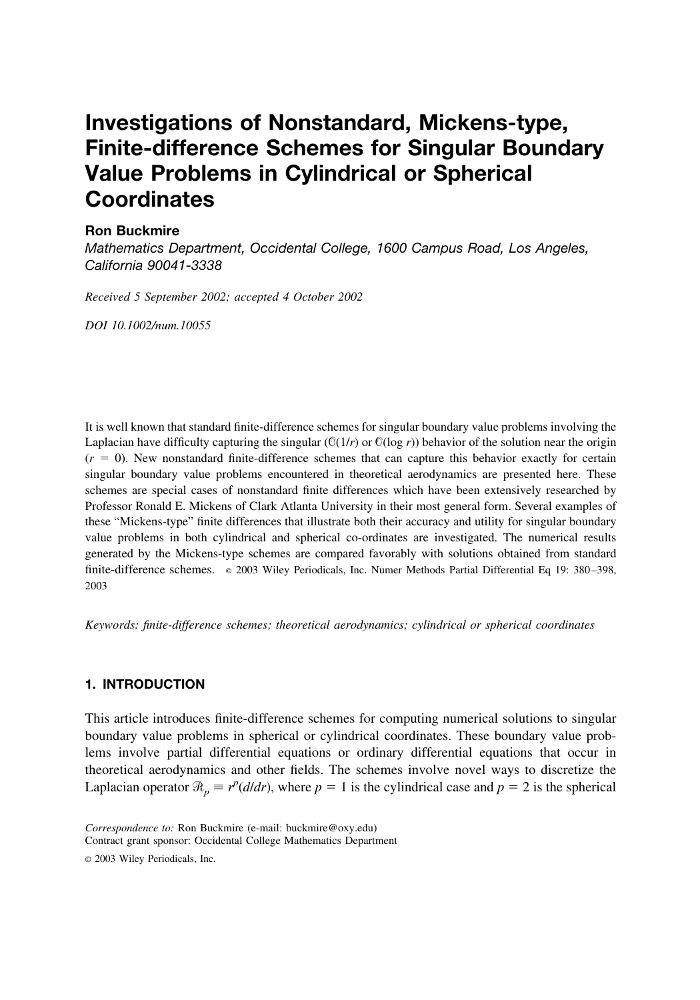# **Investigations of Nonstandard, Mickens-type, Finite-difference Schemes for Singular Boundary Value Problems in Cylindrical or Spherical Coordinates**

## **Ron Buckmire**

*Mathematics Department, Occidental College, 1600 Campus Road, Los Angeles, California 90041-3338*

*Received 5 September 2002; accepted 4 October 2002*

*DOI 10.1002/num.10055*

It is well known that standard finite-difference schemes for singular boundary value problems involving the Laplacian have difficulty capturing the singular ( $\mathbb{O}(1/r)$  or  $\mathbb{O}(\log r)$ ) behavior of the solution near the origin  $(r = 0)$ . New nonstandard finite-difference schemes that can capture this behavior exactly for certain singular boundary value problems encountered in theoretical aerodynamics are presented here. These schemes are special cases of nonstandard finite differences which have been extensively researched by Professor Ronald E. Mickens of Clark Atlanta University in their most general form. Several examples of these "Mickens-type" finite differences that illustrate both their accuracy and utility for singular boundary value problems in both cylindrical and spherical co-ordinates are investigated. The numerical results generated by the Mickens-type schemes are compared favorably with solutions obtained from standard finite-difference schemes. © 2003 Wiley Periodicals, Inc. Numer Methods Partial Differential Eq 19: 380 –398, 2003

*Keywords: finite-difference schemes; theoretical aerodynamics; cylindrical or spherical coordinates*

## **1. INTRODUCTION**

This article introduces finite-difference schemes for computing numerical solutions to singular boundary value problems in spherical or cylindrical coordinates. These boundary value problems involve partial differential equations or ordinary differential equations that occur in theoretical aerodynamics and other fields. The schemes involve novel ways to discretize the Laplacian operator  $\Re_p \equiv r^p(d/dr)$ , where  $p = 1$  is the cylindrical case and  $p = 2$  is the spherical

*Correspondence to:* Ron Buckmire (e-mail: buckmire@oxy.edu) Contract grant sponsor: Occidental College Mathematics Department

<sup>©</sup> 2003 Wiley Periodicals, Inc.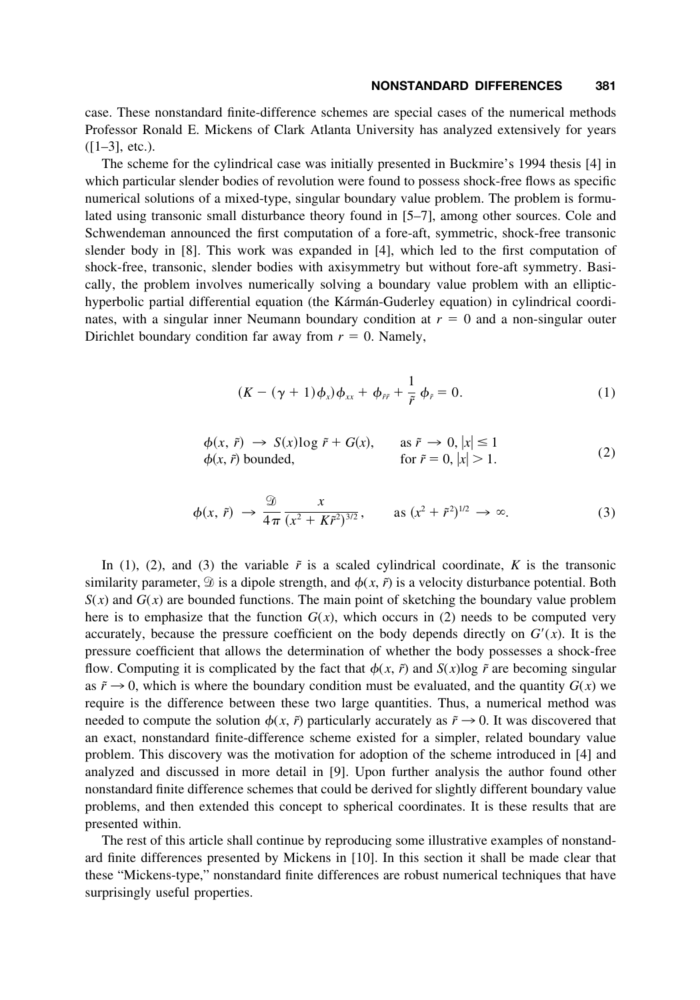case. These nonstandard finite-difference schemes are special cases of the numerical methods Professor Ronald E. Mickens of Clark Atlanta University has analyzed extensively for years  $([1-3],$  etc.).

The scheme for the cylindrical case was initially presented in Buckmire's 1994 thesis [4] in which particular slender bodies of revolution were found to possess shock-free flows as specific numerical solutions of a mixed-type, singular boundary value problem. The problem is formulated using transonic small disturbance theory found in [5–7], among other sources. Cole and Schwendeman announced the first computation of a fore-aft, symmetric, shock-free transonic slender body in [8]. This work was expanded in [4], which led to the first computation of shock-free, transonic, slender bodies with axisymmetry but without fore-aft symmetry. Basically, the problem involves numerically solving a boundary value problem with an elliptichyperbolic partial differential equation (the Kármán-Guderley equation) in cylindrical coordinates, with a singular inner Neumann boundary condition at  $r = 0$  and a non-singular outer Dirichlet boundary condition far away from  $r = 0$ . Namely,

$$
(K - (\gamma + 1)\phi_x)\phi_{xx} + \phi_{\tilde{r}\tilde{r}} + \frac{1}{\tilde{r}}\phi_{\tilde{r}} = 0.
$$
 (1)

$$
\begin{aligned}\n\phi(x, \tilde{r}) &\to S(x) \log \tilde{r} + G(x), & \text{as } \tilde{r} \to 0, |x| \le 1 \\
\phi(x, \tilde{r}) \text{ bounded,} & \text{for } \tilde{r} = 0, |x| > 1.\n\end{aligned} \tag{2}
$$

$$
\phi(x,\tilde{r}) \to \frac{\mathcal{D}}{4\pi} \frac{x}{(x^2 + K\tilde{r}^2)^{3/2}}, \quad \text{as } (x^2 + \tilde{r}^2)^{1/2} \to \infty.
$$
 (3)

In (1), (2), and (3) the variable  $\tilde{r}$  is a scaled cylindrical coordinate,  $K$  is the transonic similarity parameter,  $\mathcal{D}$  is a dipole strength, and  $\phi(x, \tilde{r})$  is a velocity disturbance potential. Both  $S(x)$  and  $G(x)$  are bounded functions. The main point of sketching the boundary value problem here is to emphasize that the function  $G(x)$ , which occurs in (2) needs to be computed very accurately, because the pressure coefficient on the body depends directly on  $G'(x)$ . It is the pressure coefficient that allows the determination of whether the body possesses a shock-free flow. Computing it is complicated by the fact that  $\phi(x, \tilde{r})$  and  $S(x)$ log  $\tilde{r}$  are becoming singular as  $\tilde{r} \rightarrow 0$ , which is where the boundary condition must be evaluated, and the quantity  $G(x)$  we require is the difference between these two large quantities. Thus, a numerical method was needed to compute the solution  $\phi(x, \tilde{r})$  particularly accurately as  $\tilde{r} \rightarrow 0$ . It was discovered that an exact, nonstandard finite-difference scheme existed for a simpler, related boundary value problem. This discovery was the motivation for adoption of the scheme introduced in [4] and analyzed and discussed in more detail in [9]. Upon further analysis the author found other nonstandard finite difference schemes that could be derived for slightly different boundary value problems, and then extended this concept to spherical coordinates. It is these results that are presented within.

The rest of this article shall continue by reproducing some illustrative examples of nonstandard finite differences presented by Mickens in [10]. In this section it shall be made clear that these "Mickens-type," nonstandard finite differences are robust numerical techniques that have surprisingly useful properties.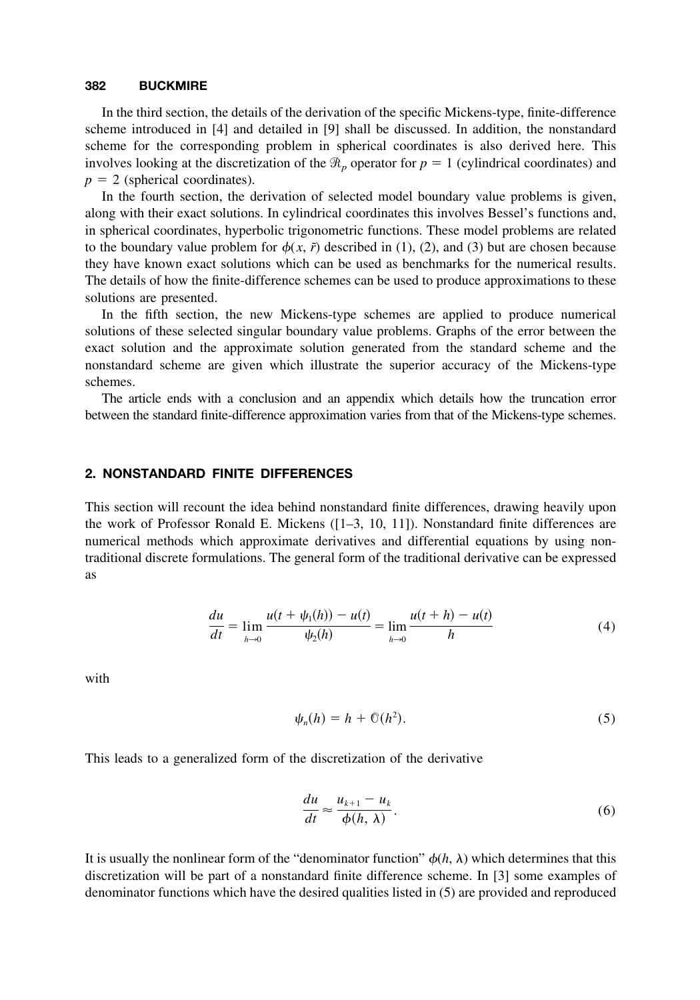In the third section, the details of the derivation of the specific Mickens-type, finite-difference scheme introduced in [4] and detailed in [9] shall be discussed. In addition, the nonstandard scheme for the corresponding problem in spherical coordinates is also derived here. This involves looking at the discretization of the  $\Re_p$  operator for  $p = 1$  (cylindrical coordinates) and  $p = 2$  (spherical coordinates).

In the fourth section, the derivation of selected model boundary value problems is given, along with their exact solutions. In cylindrical coordinates this involves Bessel's functions and, in spherical coordinates, hyperbolic trigonometric functions. These model problems are related to the boundary value problem for  $\phi(x, \tilde{r})$  described in (1), (2), and (3) but are chosen because they have known exact solutions which can be used as benchmarks for the numerical results. The details of how the finite-difference schemes can be used to produce approximations to these solutions are presented.

In the fifth section, the new Mickens-type schemes are applied to produce numerical solutions of these selected singular boundary value problems. Graphs of the error between the exact solution and the approximate solution generated from the standard scheme and the nonstandard scheme are given which illustrate the superior accuracy of the Mickens-type schemes.

The article ends with a conclusion and an appendix which details how the truncation error between the standard finite-difference approximation varies from that of the Mickens-type schemes.

#### **2. NONSTANDARD FINITE DIFFERENCES**

This section will recount the idea behind nonstandard finite differences, drawing heavily upon the work of Professor Ronald E. Mickens ([1–3, 10, 11]). Nonstandard finite differences are numerical methods which approximate derivatives and differential equations by using nontraditional discrete formulations. The general form of the traditional derivative can be expressed as

$$
\frac{du}{dt} = \lim_{h \to 0} \frac{u(t + \psi_1(h)) - u(t)}{\psi_2(h)} = \lim_{h \to 0} \frac{u(t + h) - u(t)}{h}
$$
(4)

with

$$
\psi_n(h) = h + \mathbb{O}(h^2). \tag{5}
$$

This leads to a generalized form of the discretization of the derivative

$$
\frac{du}{dt} \approx \frac{u_{k+1} - u_k}{\phi(h, \lambda)}.
$$
\n(6)

It is usually the nonlinear form of the "denominator function"  $\phi(h, \lambda)$  which determines that this discretization will be part of a nonstandard finite difference scheme. In [3] some examples of denominator functions which have the desired qualities listed in (5) are provided and reproduced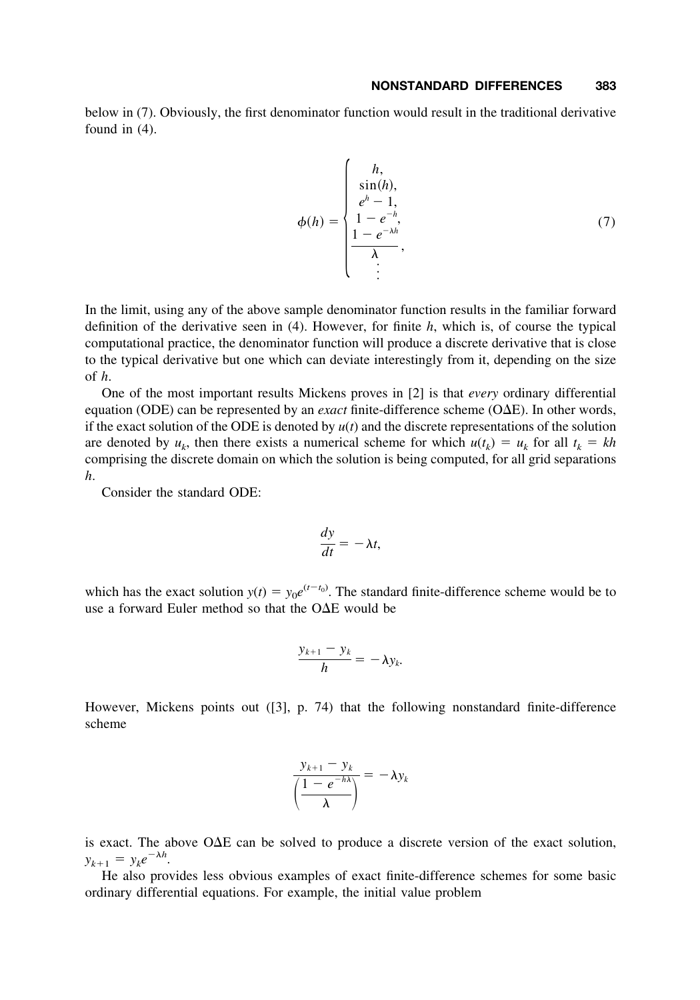below in (7). Obviously, the first denominator function would result in the traditional derivative found in (4).

$$
\phi(h) = \begin{cases}\nh, & \\
\sin(h), & \\
e^h - 1, & \\
1 - e^{-h}, & \\
\frac{1 - e^{-\lambda h}}{\lambda}, & \\
\vdots & \\
\end{cases}
$$
\n(7)

In the limit, using any of the above sample denominator function results in the familiar forward definition of the derivative seen in (4). However, for finite *h*, which is, of course the typical computational practice, the denominator function will produce a discrete derivative that is close to the typical derivative but one which can deviate interestingly from it, depending on the size of *h*.

One of the most important results Mickens proves in [2] is that *every* ordinary differential equation (ODE) can be represented by an *exact* finite-difference scheme ( $O\Delta E$ ). In other words, if the exact solution of the ODE is denoted by  $u(t)$  and the discrete representations of the solution are denoted by  $u_k$ , then there exists a numerical scheme for which  $u(t_k) = u_k$  for all  $t_k = kh$ comprising the discrete domain on which the solution is being computed, for all grid separations *h*.

Consider the standard ODE:

$$
\frac{dy}{dt} = -\lambda t,
$$

which has the exact solution  $y(t) = y_0 e^{(t-t_0)}$ . The standard finite-difference scheme would be to use a forward Euler method so that the  $O\Delta E$  would be

$$
\frac{y_{k+1}-y_k}{h}=-\lambda y_k.
$$

However, Mickens points out ([3], p. 74) that the following nonstandard finite-difference scheme

$$
\frac{y_{k+1} - y_k}{\left(\frac{1 - e^{-h\lambda}}{\lambda}\right)} = -\lambda y_k
$$

is exact. The above  $O\Delta E$  can be solved to produce a discrete version of the exact solution,  $y_{k+1} = y_k e^{-\lambda h}$ .

He also provides less obvious examples of exact finite-difference schemes for some basic ordinary differential equations. For example, the initial value problem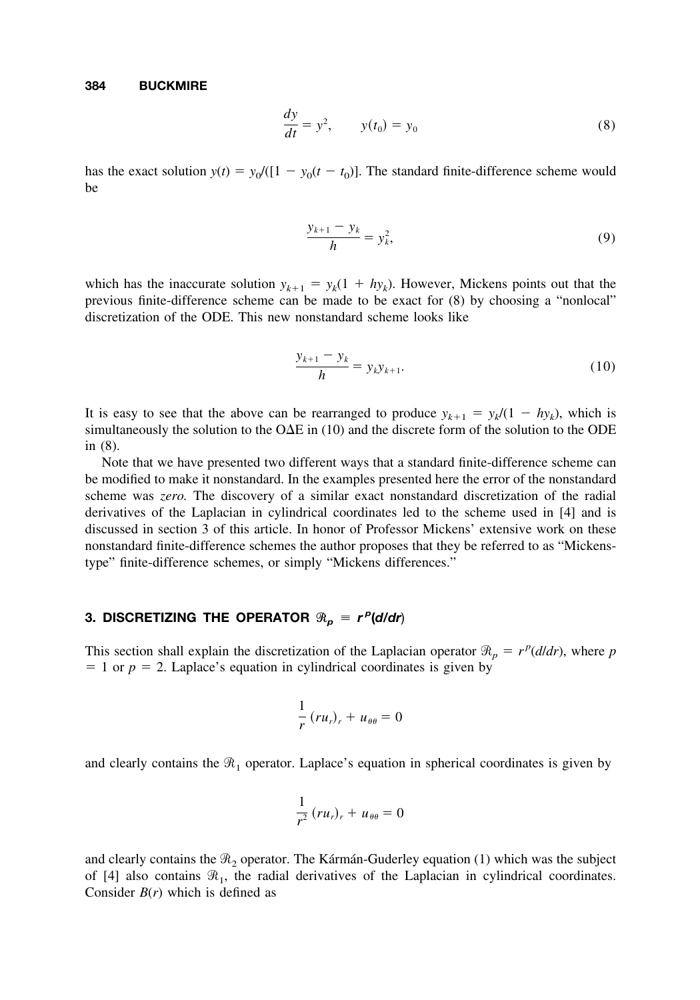$$
\frac{dy}{dt} = y^2, \qquad y(t_0) = y_0 \tag{8}
$$

has the exact solution  $y(t) = y_0/([1 - y_0(t - t_0)]$ . The standard finite-difference scheme would be

$$
\frac{y_{k+1} - y_k}{h} = y_k^2, \tag{9}
$$

which has the inaccurate solution  $y_{k+1} = y_k(1 + hy_k)$ . However, Mickens points out that the previous finite-difference scheme can be made to be exact for (8) by choosing a "nonlocal" discretization of the ODE. This new nonstandard scheme looks like

$$
\frac{y_{k+1} - y_k}{h} = y_k y_{k+1}.
$$
 (10)

It is easy to see that the above can be rearranged to produce  $y_{k+1} = y_k/(1 - hy_k)$ , which is simultaneously the solution to the  $O\Delta E$  in (10) and the discrete form of the solution to the ODE in (8).

Note that we have presented two different ways that a standard finite-difference scheme can be modified to make it nonstandard. In the examples presented here the error of the nonstandard scheme was *zero.* The discovery of a similar exact nonstandard discretization of the radial derivatives of the Laplacian in cylindrical coordinates led to the scheme used in [4] and is discussed in section 3 of this article. In honor of Professor Mickens' extensive work on these nonstandard finite-difference schemes the author proposes that they be referred to as "Mickenstype" finite-difference schemes, or simply "Mickens differences."

## $3.$  DISCRETIZING THE OPERATOR  $\Re_p = r^p(d/dr)$

This section shall explain the discretization of the Laplacian operator  $\Re_p = r^p(d/dr)$ , where *p*  $= 1$  or  $p = 2$ . Laplace's equation in cylindrical coordinates is given by

$$
\frac{1}{r}(ru_r)_r + u_{\theta\theta} = 0
$$

and clearly contains the  $\Re_1$  operator. Laplace's equation in spherical coordinates is given by

$$
\frac{1}{r^2}(ru_r)_r + u_{\theta\theta} = 0
$$

and clearly contains the  $\Re_2$  operator. The Kármán-Guderley equation (1) which was the subject of [4] also contains  $\mathcal{R}_1$ , the radial derivatives of the Laplacian in cylindrical coordinates. Consider  $B(r)$  which is defined as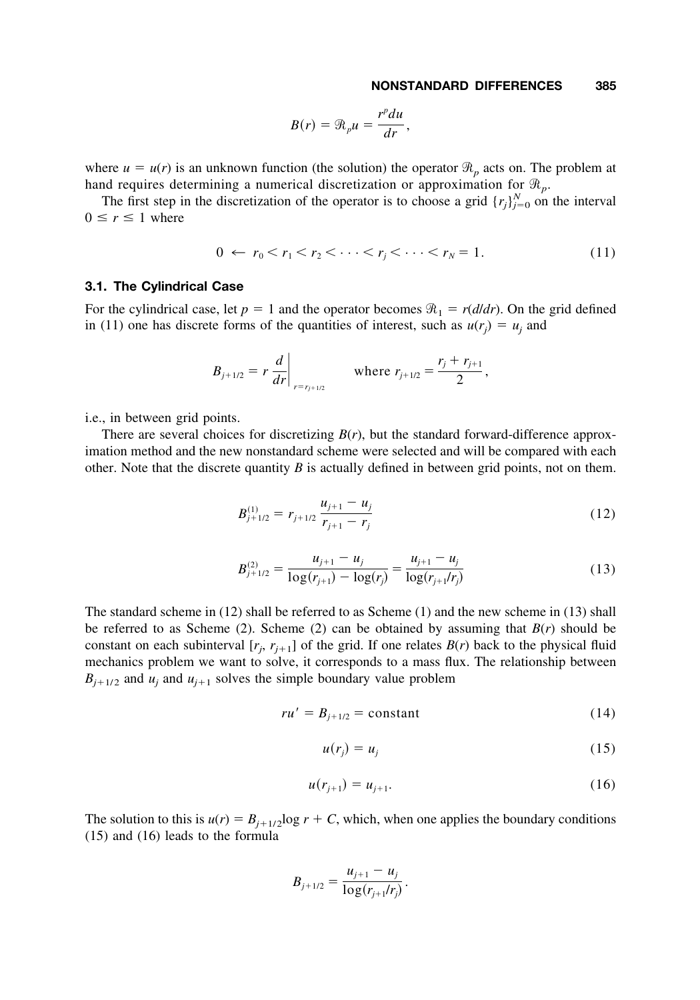$$
B(r) = \mathcal{R}_p u = \frac{r^p du}{dr},
$$

where  $u = u(r)$  is an unknown function (the solution) the operator  $\mathcal{R}_p$  acts on. The problem at hand requires determining a numerical discretization or approximation for  $\mathcal{R}_p$ .

The first step in the discretization of the operator is to choose a grid  $\{r_j\}_{j=0}^N$  on the interval  $0 \leq r \leq 1$  where

$$
0 \leftarrow r_0 < r_1 < r_2 < \dots < r_j < \dots < r_N = 1. \tag{11}
$$

#### **3.1. The Cylindrical Case**

For the cylindrical case, let  $p = 1$  and the operator becomes  $\Re_1 = r(d/dr)$ . On the grid defined in (11) one has discrete forms of the quantities of interest, such as  $u(r_j) = u_j$  and

$$
B_{j+1/2} = r \frac{d}{dr}\Big|_{r=r_{j+1/2}}
$$
 where  $r_{j+1/2} = \frac{r_j + r_{j+1}}{2}$ ,

i.e., in between grid points.

There are several choices for discretizing  $B(r)$ , but the standard forward-difference approximation method and the new nonstandard scheme were selected and will be compared with each other. Note that the discrete quantity  $B$  is actually defined in between grid points, not on them.

$$
B_{j+1/2}^{(1)} = r_{j+1/2} \frac{u_{j+1} - u_j}{r_{j+1} - r_j} \tag{12}
$$

$$
B_{j+1/2}^{(2)} = \frac{u_{j+1} - u_j}{\log(r_{j+1}) - \log(r_j)} = \frac{u_{j+1} - u_j}{\log(r_{j+1}/r_j)}
$$
(13)

The standard scheme in (12) shall be referred to as Scheme (1) and the new scheme in (13) shall be referred to as Scheme (2). Scheme (2) can be obtained by assuming that  $B(r)$  should be constant on each subinterval  $[r_j, r_{j+1}]$  of the grid. If one relates  $B(r)$  back to the physical fluid mechanics problem we want to solve, it corresponds to a mass flux. The relationship between  $B_{i+1/2}$  and  $u_i$  and  $u_{i+1}$  solves the simple boundary value problem

$$
ru' = B_{j+1/2} = \text{constant} \tag{14}
$$

$$
u(r_j) = u_j \tag{15}
$$

$$
u(r_{j+1}) = u_{j+1}.\tag{16}
$$

The solution to this is  $u(r) = B_{i+1/2} \log r + C$ , which, when one applies the boundary conditions (15) and (16) leads to the formula

$$
B_{j+1/2} = \frac{u_{j+1} - u_j}{\log(r_{j+1}/r_j)}.
$$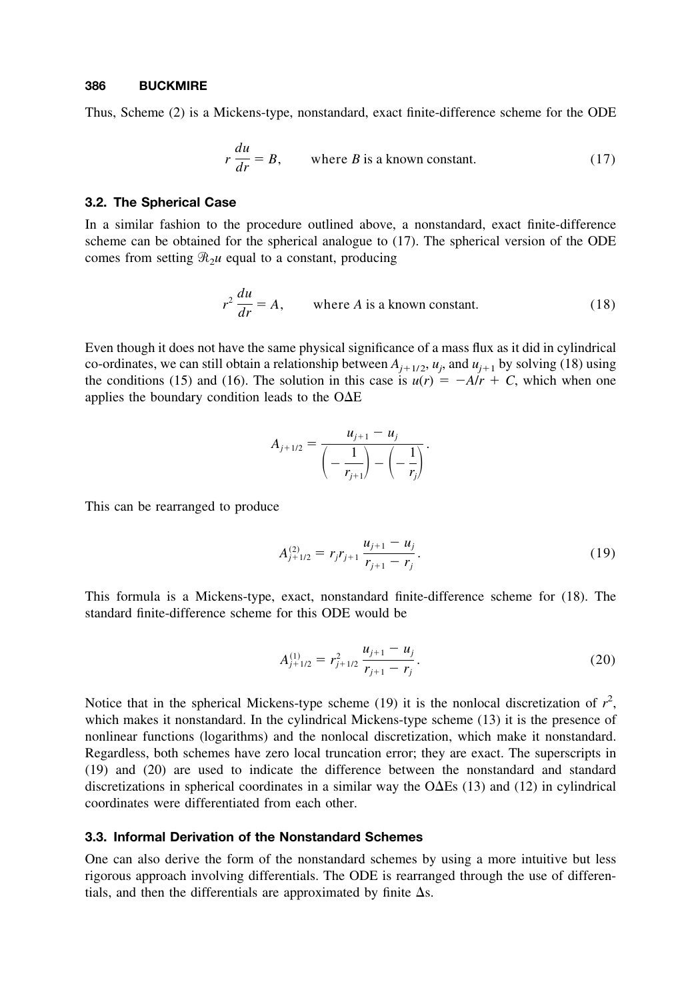Thus, Scheme (2) is a Mickens-type, nonstandard, exact finite-difference scheme for the ODE

$$
r\frac{du}{dr} = B, \qquad \text{where } B \text{ is a known constant.} \tag{17}
$$

#### **3.2. The Spherical Case**

In a similar fashion to the procedure outlined above, a nonstandard, exact finite-difference scheme can be obtained for the spherical analogue to (17). The spherical version of the ODE comes from setting  $\mathcal{R}_2 u$  equal to a constant, producing

$$
r^2 \frac{du}{dr} = A, \qquad \text{where } A \text{ is a known constant.} \tag{18}
$$

Even though it does not have the same physical significance of a mass flux as it did in cylindrical co-ordinates, we can still obtain a relationship between  $A_{j+1/2}$ ,  $u_j$ , and  $u_{j+1}$  by solving (18) using the conditions (15) and (16). The solution in this case is  $u(r) = -A/r + C$ , which when one applies the boundary condition leads to the  $O\Delta E$ 

$$
A_{j+1/2} = \frac{u_{j+1} - u_j}{\left(-\frac{1}{r_{j+1}}\right) - \left(-\frac{1}{r_j}\right)}.
$$

This can be rearranged to produce

$$
A_{j+1/2}^{(2)} = r_j r_{j+1} \frac{u_{j+1} - u_j}{r_{j+1} - r_j}.
$$
\n(19)

This formula is a Mickens-type, exact, nonstandard finite-difference scheme for (18). The standard finite-difference scheme for this ODE would be

$$
A_{j+1/2}^{(1)} = r_{j+1/2}^2 \frac{u_{j+1} - u_j}{r_{j+1} - r_j}.
$$
 (20)

Notice that in the spherical Mickens-type scheme (19) it is the nonlocal discretization of  $r^2$ , which makes it nonstandard. In the cylindrical Mickens-type scheme (13) it is the presence of nonlinear functions (logarithms) and the nonlocal discretization, which make it nonstandard. Regardless, both schemes have zero local truncation error; they are exact. The superscripts in (19) and (20) are used to indicate the difference between the nonstandard and standard discretizations in spherical coordinates in a similar way the  $O\Delta E$ s (13) and (12) in cylindrical coordinates were differentiated from each other.

## **3.3. Informal Derivation of the Nonstandard Schemes**

One can also derive the form of the nonstandard schemes by using a more intuitive but less rigorous approach involving differentials. The ODE is rearranged through the use of differentials, and then the differentials are approximated by finite  $\Delta s$ .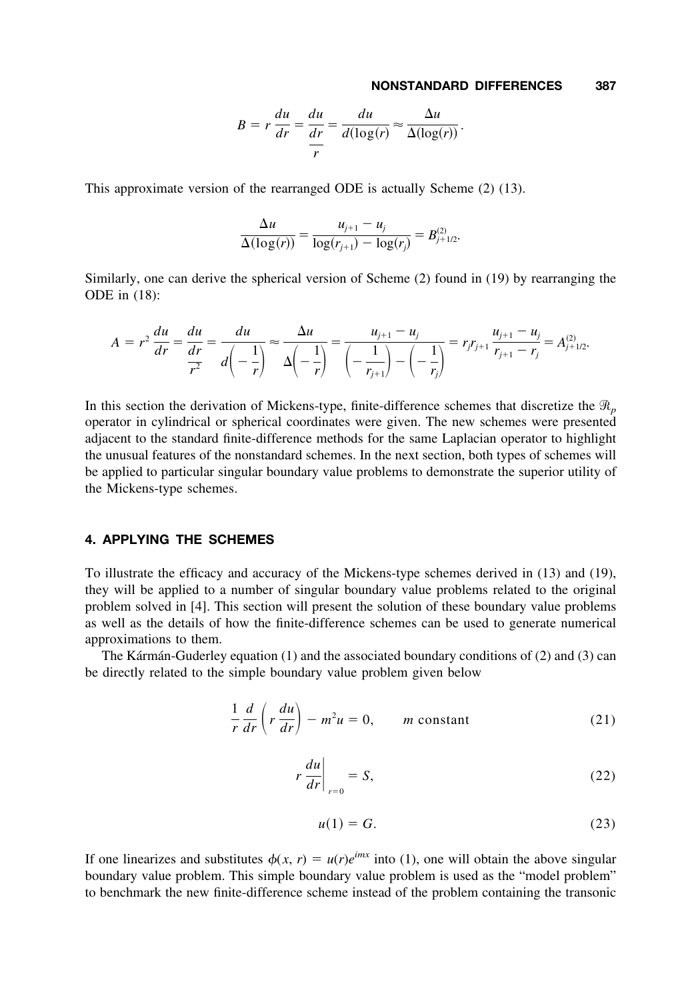$$
B = r \frac{du}{dr} = \frac{du}{dr} = \frac{du}{d(\log(r)} \approx \frac{\Delta u}{\Delta(\log(r))}.
$$

This approximate version of the rearranged ODE is actually Scheme (2) (13).

$$
\frac{\Delta u}{\Delta(\log(r))} = \frac{u_{j+1} - u_j}{\log(r_{j+1}) - \log(r_j)} = B_{j+1/2}^{(2)}.
$$

Similarly, one can derive the spherical version of Scheme (2) found in (19) by rearranging the ODE in (18):

$$
A = r^2 \frac{du}{dr} = \frac{du}{\frac{dr}{r^2}} = \frac{du}{d\left(-\frac{1}{r}\right)} \approx \frac{\Delta u}{\Delta\left(-\frac{1}{r}\right)} = \frac{u_{j+1} - u_j}{\left(-\frac{1}{r_{j+1}}\right) - \left(-\frac{1}{r_j}\right)} = r_j r_{j+1} \frac{u_{j+1} - u_j}{r_{j+1} - r_j} = A_{j+1/2}^{(2)}.
$$

In this section the derivation of Mickens-type, finite-difference schemes that discretize the  $\mathcal{R}_p$ operator in cylindrical or spherical coordinates were given. The new schemes were presented adjacent to the standard finite-difference methods for the same Laplacian operator to highlight the unusual features of the nonstandard schemes. In the next section, both types of schemes will be applied to particular singular boundary value problems to demonstrate the superior utility of the Mickens-type schemes.

## **4. APPLYING THE SCHEMES**

To illustrate the efficacy and accuracy of the Mickens-type schemes derived in (13) and (19), they will be applied to a number of singular boundary value problems related to the original problem solved in [4]. This section will present the solution of these boundary value problems as well as the details of how the finite-difference schemes can be used to generate numerical approximations to them.

The Kármán-Guderley equation  $(1)$  and the associated boundary conditions of  $(2)$  and  $(3)$  can be directly related to the simple boundary value problem given below

$$
\frac{1}{r}\frac{d}{dr}\left(r\frac{du}{dr}\right) - m^2u = 0, \qquad m \text{ constant} \tag{21}
$$

$$
r\left.\frac{du}{dr}\right|_{r=0} = S,\tag{22}
$$

$$
u(1) = G.\t(23)
$$

If one linearizes and substitutes  $\phi(x, r) = u(r)e^{imx}$  into (1), one will obtain the above singular boundary value problem. This simple boundary value problem is used as the "model problem" to benchmark the new finite-difference scheme instead of the problem containing the transonic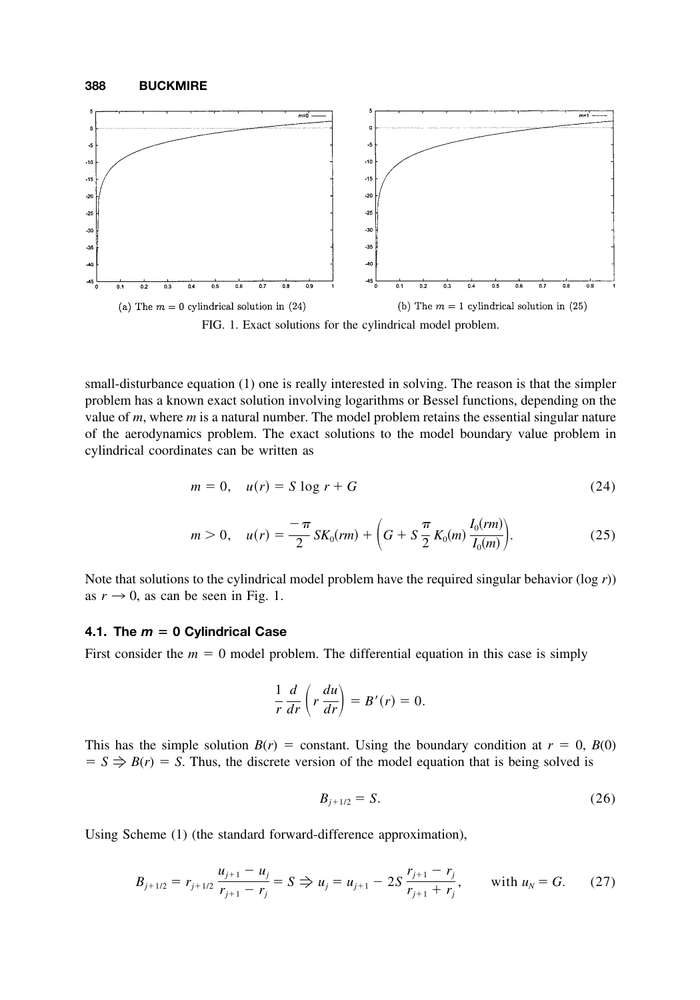

small-disturbance equation (1) one is really interested in solving. The reason is that the simpler problem has a known exact solution involving logarithms or Bessel functions, depending on the value of *m*, where *m* is a natural number. The model problem retains the essential singular nature of the aerodynamics problem. The exact solutions to the model boundary value problem in

cylindrical coordinates can be written as

$$
m = 0, \quad u(r) = S \log r + G \tag{24}
$$

$$
m > 0, \quad u(r) = \frac{-\pi}{2} SK_0(rm) + \left( G + S \frac{\pi}{2} K_0(m) \frac{I_0(rm)}{I_0(m)} \right).
$$
 (25)

Note that solutions to the cylindrical model problem have the required singular behavior (log *r*)) as  $r \rightarrow 0$ , as can be seen in Fig. 1.

## **4.1. The** *m* **0 Cylindrical Case**

First consider the  $m = 0$  model problem. The differential equation in this case is simply

$$
\frac{1}{r}\frac{d}{dr}\left(r\frac{du}{dr}\right) = B'(r) = 0.
$$

This has the simple solution  $B(r)$  = constant. Using the boundary condition at  $r = 0$ ,  $B(0)$  $S \implies B(r) = S$ . Thus, the discrete version of the model equation that is being solved is

$$
B_{j+1/2} = S.
$$
 (26)

Using Scheme (1) (the standard forward-difference approximation),

$$
B_{j+1/2} = r_{j+1/2} \frac{u_{j+1} - u_j}{r_{j+1} - r_j} = S \Rightarrow u_j = u_{j+1} - 2S \frac{r_{j+1} - r_j}{r_{j+1} + r_j}, \quad \text{with } u_N = G. \tag{27}
$$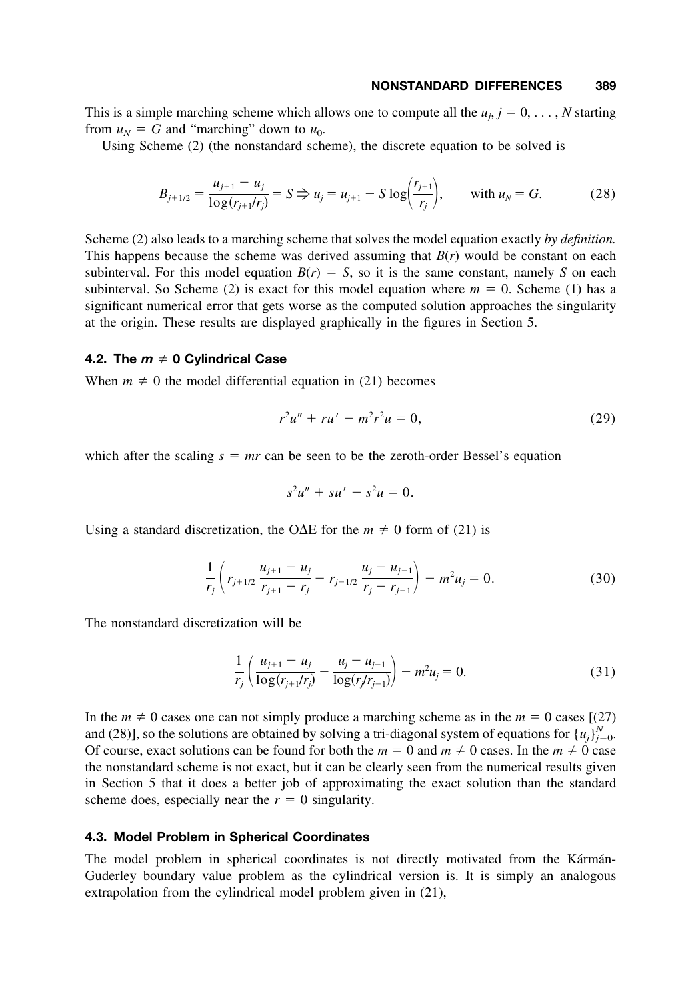This is a simple marching scheme which allows one to compute all the  $u_j$ ,  $j = 0, \ldots, N$  starting from  $u_N = G$  and "marching" down to  $u_0$ .

Using Scheme (2) (the nonstandard scheme), the discrete equation to be solved is

$$
B_{j+1/2} = \frac{u_{j+1} - u_j}{\log(r_{j+1}/r_j)} = S \Rightarrow u_j = u_{j+1} - S \log\left(\frac{r_{j+1}}{r_j}\right), \quad \text{with } u_N = G. \tag{28}
$$

Scheme (2) also leads to a marching scheme that solves the model equation exactly *by definition.* This happens because the scheme was derived assuming that *B*(*r*) would be constant on each subinterval. For this model equation  $B(r) = S$ , so it is the same constant, namely *S* on each subinterval. So Scheme (2) is exact for this model equation where  $m = 0$ . Scheme (1) has a significant numerical error that gets worse as the computed solution approaches the singularity at the origin. These results are displayed graphically in the figures in Section 5.

#### **4.2. The** *m* **0 Cylindrical Case**

When  $m \neq 0$  the model differential equation in (21) becomes

$$
r^2u'' + ru' - m^2r^2u = 0,
$$
\n(29)

which after the scaling  $s = mr$  can be seen to be the zeroth-order Bessel's equation

$$
s^2u'' + su' - s^2u = 0.
$$

Using a standard discretization, the O $\Delta E$  for the  $m \neq 0$  form of (21) is

$$
\frac{1}{r_j}\left(r_{j+1/2}\frac{u_{j+1}-u_j}{r_{j+1}-r_j}-r_{j-1/2}\frac{u_j-u_{j-1}}{r_j-r_{j-1}}\right)-m^2u_j=0.
$$
\n(30)

The nonstandard discretization will be

$$
\frac{1}{r_j} \left( \frac{u_{j+1} - u_j}{\log(r_{j+1}/r_j)} - \frac{u_j - u_{j-1}}{\log(r_j/r_{j-1})} \right) - m^2 u_j = 0.
$$
\n(31)

In the  $m \neq 0$  cases one can not simply produce a marching scheme as in the  $m = 0$  cases [(27) and (28)], so the solutions are obtained by solving a tri-diagonal system of equations for  $\{u_j\}_{j=0}^N$ . Of course, exact solutions can be found for both the  $m = 0$  and  $m \neq 0$  cases. In the  $m \neq 0$  case the nonstandard scheme is not exact, but it can be clearly seen from the numerical results given in Section 5 that it does a better job of approximating the exact solution than the standard scheme does, especially near the  $r = 0$  singularity.

#### **4.3. Model Problem in Spherical Coordinates**

The model problem in spherical coordinates is not directly motivated from the Katman-Guderley boundary value problem as the cylindrical version is. It is simply an analogous extrapolation from the cylindrical model problem given in (21),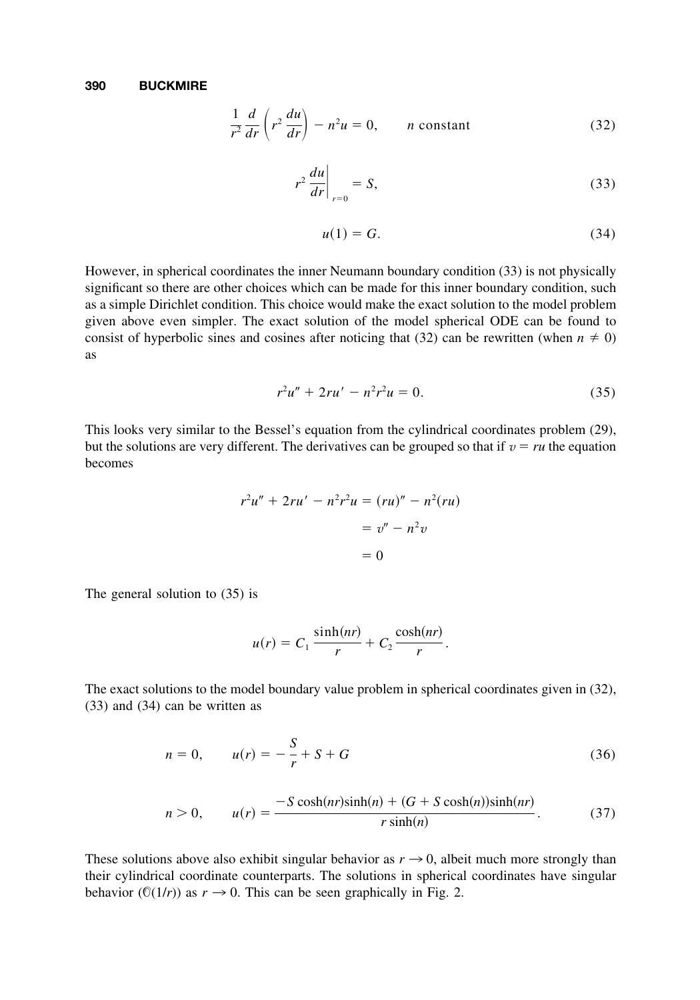$$
\frac{1}{r^2}\frac{d}{dr}\left(r^2\frac{du}{dr}\right) - n^2u = 0, \qquad n \text{ constant}
$$
\n(32)

$$
r^2 \left. \frac{du}{dr} \right|_{r=0} = S,\tag{33}
$$

$$
u(1) = G.\t\t(34)
$$

However, in spherical coordinates the inner Neumann boundary condition (33) is not physically significant so there are other choices which can be made for this inner boundary condition, such as a simple Dirichlet condition. This choice would make the exact solution to the model problem given above even simpler. The exact solution of the model spherical ODE can be found to consist of hyperbolic sines and cosines after noticing that (32) can be rewritten (when  $n \neq 0$ ) as

$$
r^2u'' + 2ru' - n^2r^2u = 0.
$$
 (35)

This looks very similar to the Bessel's equation from the cylindrical coordinates problem (29), but the solutions are very different. The derivatives can be grouped so that if  $v = ru$  the equation becomes

$$
r2u'' + 2ru' - n2r2u = (ru)" - n2(ru)
$$

$$
= v'' - n2v
$$

$$
= 0
$$

The general solution to (35) is

$$
u(r) = C_1 \frac{\sinh(nr)}{r} + C_2 \frac{\cosh(nr)}{r}.
$$

The exact solutions to the model boundary value problem in spherical coordinates given in (32), (33) and (34) can be written as

$$
n = 0, \qquad u(r) = -\frac{S}{r} + S + G \tag{36}
$$

$$
n > 0, \qquad u(r) = \frac{-S \cosh(nr)\sinh(n) + (G + S \cosh(n))\sinh(nr)}{r \sinh(n)}.
$$
 (37)

These solutions above also exhibit singular behavior as  $r \rightarrow 0$ , albeit much more strongly than their cylindrical coordinate counterparts. The solutions in spherical coordinates have singular behavior ( $\mathbb{O}(1/r)$ ) as  $r \to 0$ . This can be seen graphically in Fig. 2.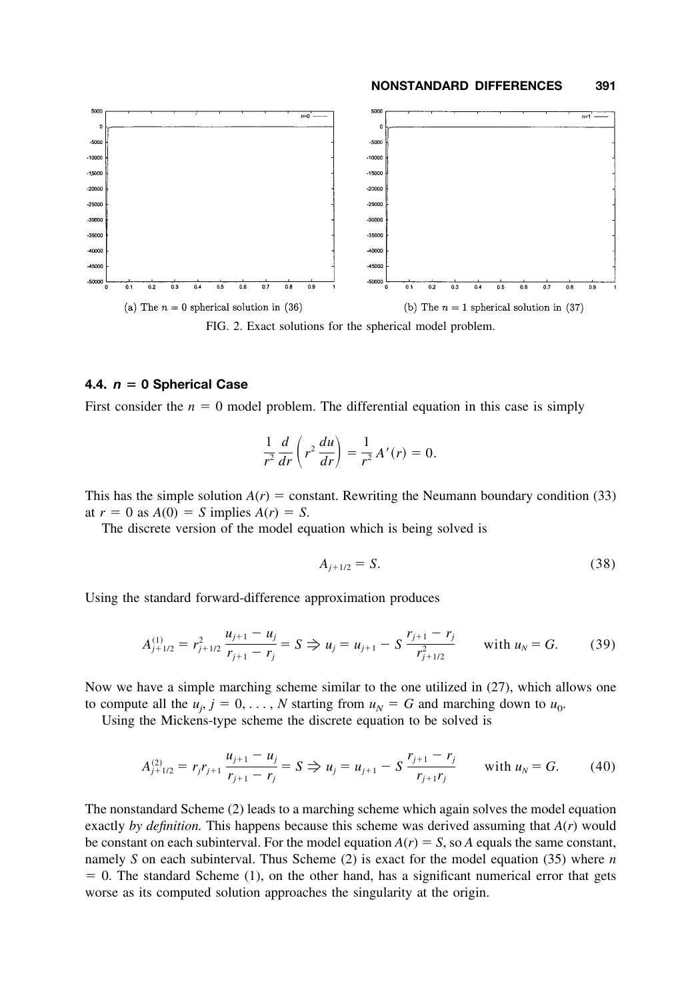

FIG. 2. Exact solutions for the spherical model problem.

#### **4.4.**  $n = 0$  Spherical Case

First consider the  $n = 0$  model problem. The differential equation in this case is simply

$$
\frac{1}{r^2}\frac{d}{dr}\left(r^2\frac{du}{dr}\right) = \frac{1}{r^2}A'(r) = 0.
$$

This has the simple solution  $A(r)$  = constant. Rewriting the Neumann boundary condition (33) at  $r = 0$  as  $A(0) = S$  implies  $A(r) = S$ .

The discrete version of the model equation which is being solved is

$$
A_{j+1/2} = S.
$$
 (38)

Using the standard forward-difference approximation produces

$$
A_{j+1/2}^{(1)} = r_{j+1/2}^2 \frac{u_{j+1} - u_j}{r_{j+1} - r_j} = S \Rightarrow u_j = u_{j+1} - S \frac{r_{j+1} - r_j}{r_{j+1/2}^2} \quad \text{with } u_N = G. \quad (39)
$$

Now we have a simple marching scheme similar to the one utilized in (27), which allows one to compute all the  $u_j$ ,  $j = 0, \ldots, N$  starting from  $u_N = G$  and marching down to  $u_0$ .

Using the Mickens-type scheme the discrete equation to be solved is

$$
A_{j+1/2}^{(2)} = r_j r_{j+1} \frac{u_{j+1} - u_j}{r_{j+1} - r_j} = S \Rightarrow u_j = u_{j+1} - S \frac{r_{j+1} - r_j}{r_{j+1} r_j} \quad \text{with } u_N = G. \quad (40)
$$

The nonstandard Scheme (2) leads to a marching scheme which again solves the model equation exactly *by definition.* This happens because this scheme was derived assuming that *A*(*r*) would be constant on each subinterval. For the model equation  $A(r) = S$ , so *A* equals the same constant, namely *S* on each subinterval. Thus Scheme (2) is exact for the model equation (35) where *n*  $= 0$ . The standard Scheme (1), on the other hand, has a significant numerical error that gets worse as its computed solution approaches the singularity at the origin.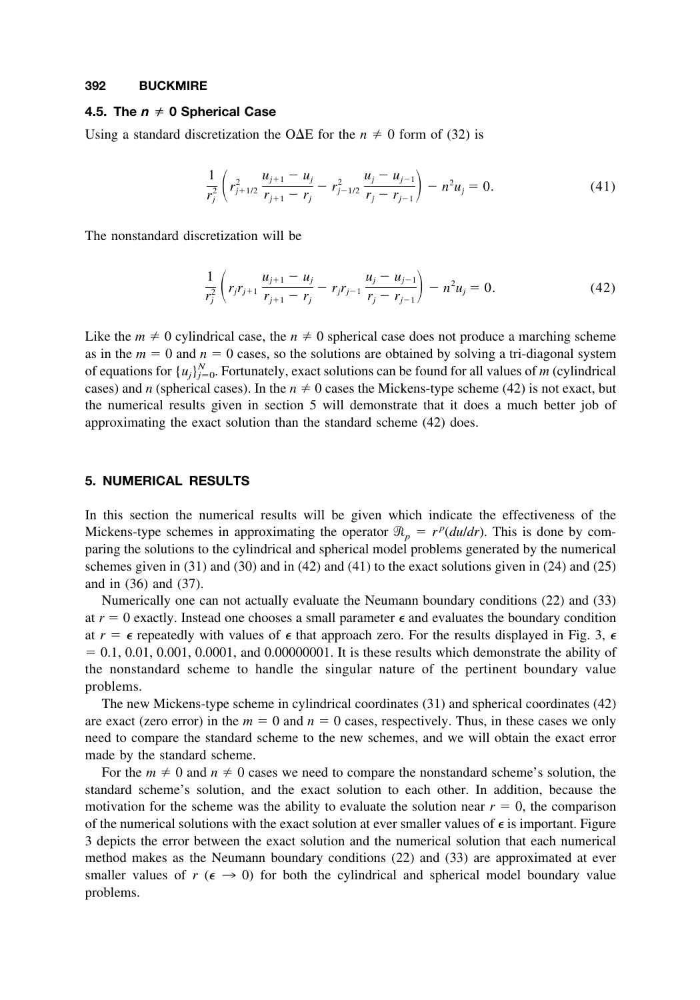#### **4.5. The** *n* **0 Spherical Case**

Using a standard discretization the O $\Delta E$  for the  $n \neq 0$  form of (32) is

$$
\frac{1}{r_j^2} \left( r_{j+1/2}^2 \frac{u_{j+1} - u_j}{r_{j+1} - r_j} - r_{j-1/2}^2 \frac{u_j - u_{j-1}}{r_j - r_{j-1}} \right) - n^2 u_j = 0.
$$
\n(41)

The nonstandard discretization will be

$$
\frac{1}{r_j^2} \left( r_j r_{j+1} \frac{u_{j+1} - u_j}{r_{j+1} - r_j} - r_j r_{j-1} \frac{u_j - u_{j-1}}{r_j - r_{j-1}} \right) - n^2 u_j = 0.
$$
\n(42)

Like the  $m \neq 0$  cylindrical case, the  $n \neq 0$  spherical case does not produce a marching scheme as in the  $m = 0$  and  $n = 0$  cases, so the solutions are obtained by solving a tri-diagonal system of equations for  $\{u_j\}_{j=0}^N$ . Fortunately, exact solutions can be found for all values of *m* (cylindrical cases) and *n* (spherical cases). In the  $n \neq 0$  cases the Mickens-type scheme (42) is not exact, but the numerical results given in section 5 will demonstrate that it does a much better job of approximating the exact solution than the standard scheme (42) does.

## **5. NUMERICAL RESULTS**

In this section the numerical results will be given which indicate the effectiveness of the Mickens-type schemes in approximating the operator  $\Re_p = r^p(dudr)$ . This is done by comparing the solutions to the cylindrical and spherical model problems generated by the numerical schemes given in  $(31)$  and  $(30)$  and in  $(42)$  and  $(41)$  to the exact solutions given in  $(24)$  and  $(25)$ and in (36) and (37).

Numerically one can not actually evaluate the Neumann boundary conditions (22) and (33) at  $r = 0$  exactly. Instead one chooses a small parameter  $\epsilon$  and evaluates the boundary condition at  $r = \epsilon$  repeatedly with values of  $\epsilon$  that approach zero. For the results displayed in Fig. 3,  $\epsilon$  $= 0.1, 0.01, 0.001, 0.0001$ , and 0.00000001. It is these results which demonstrate the ability of the nonstandard scheme to handle the singular nature of the pertinent boundary value problems.

The new Mickens-type scheme in cylindrical coordinates (31) and spherical coordinates (42) are exact (zero error) in the  $m = 0$  and  $n = 0$  cases, respectively. Thus, in these cases we only need to compare the standard scheme to the new schemes, and we will obtain the exact error made by the standard scheme.

For the  $m \neq 0$  and  $n \neq 0$  cases we need to compare the nonstandard scheme's solution, the standard scheme's solution, and the exact solution to each other. In addition, because the motivation for the scheme was the ability to evaluate the solution near  $r = 0$ , the comparison of the numerical solutions with the exact solution at ever smaller values of  $\epsilon$  is important. Figure 3 depicts the error between the exact solution and the numerical solution that each numerical method makes as the Neumann boundary conditions (22) and (33) are approximated at ever smaller values of  $r \ (\epsilon \to 0)$  for both the cylindrical and spherical model boundary value problems.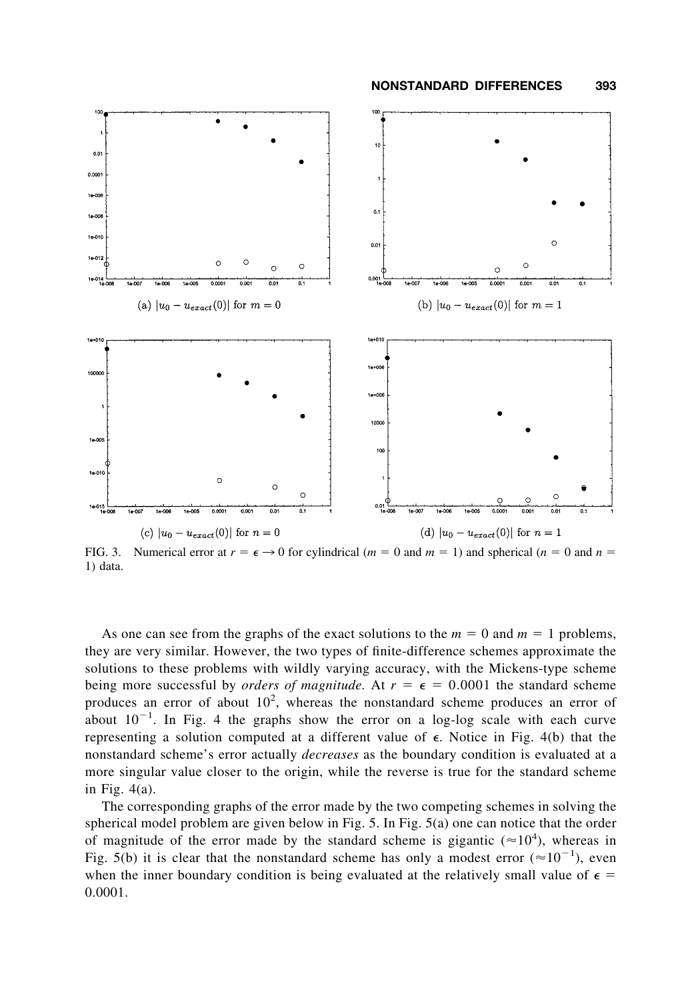

FIG. 3. Numerical error at  $r = \epsilon \rightarrow 0$  for cylindrical (*m* = 0 and *m* = 1) and spherical (*n* = 0 and *n* = 1) data.

As one can see from the graphs of the exact solutions to the  $m = 0$  and  $m = 1$  problems, they are very similar. However, the two types of finite-difference schemes approximate the solutions to these problems with wildly varying accuracy, with the Mickens-type scheme being more successful by *orders of magnitude*. At  $r = \epsilon = 0.0001$  the standard scheme produces an error of about  $10^2$ , whereas the nonstandard scheme produces an error of about  $10^{-1}$ . In Fig. 4 the graphs show the error on a log-log scale with each curve representing a solution computed at a different value of  $\epsilon$ . Notice in Fig. 4(b) that the nonstandard scheme's error actually *decreases* as the boundary condition is evaluated at a more singular value closer to the origin, while the reverse is true for the standard scheme in Fig. 4(a).

The corresponding graphs of the error made by the two competing schemes in solving the spherical model problem are given below in Fig. 5. In Fig. 5(a) one can notice that the order of magnitude of the error made by the standard scheme is gigantic ( $\approx 10^4$ ), whereas in Fig. 5(b) it is clear that the nonstandard scheme has only a modest error  $(\approx 10^{-1})$ , even when the inner boundary condition is being evaluated at the relatively small value of  $\epsilon$  = 0.0001.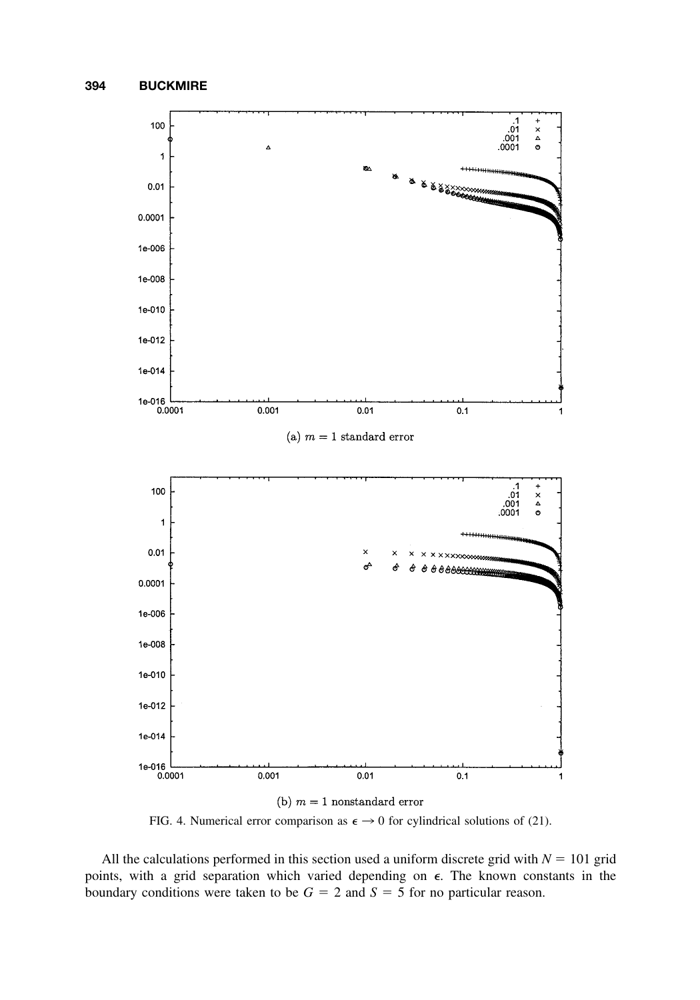

FIG. 4. Numerical error comparison as  $\epsilon \to 0$  for cylindrical solutions of (21).

All the calculations performed in this section used a uniform discrete grid with  $N = 101$  grid points, with a grid separation which varied depending on  $\epsilon$ . The known constants in the boundary conditions were taken to be  $G = 2$  and  $S = 5$  for no particular reason.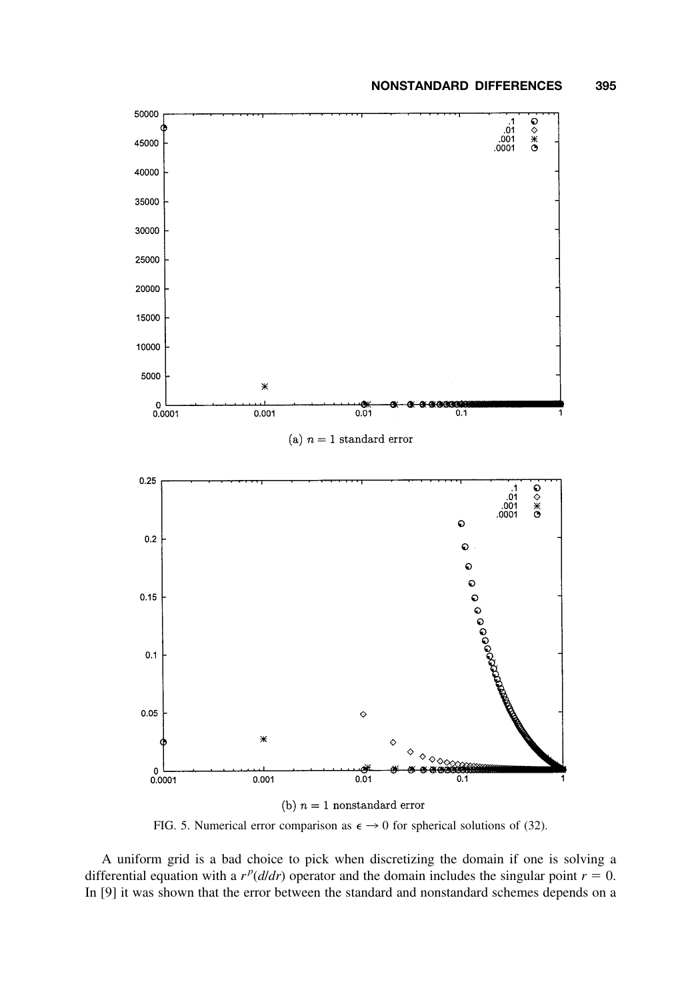

FIG. 5. Numerical error comparison as  $\epsilon \rightarrow 0$  for spherical solutions of (32).

A uniform grid is a bad choice to pick when discretizing the domain if one is solving a differential equation with a  $r^p(d/dr)$  operator and the domain includes the singular point  $r = 0$ . In [9] it was shown that the error between the standard and nonstandard schemes depends on a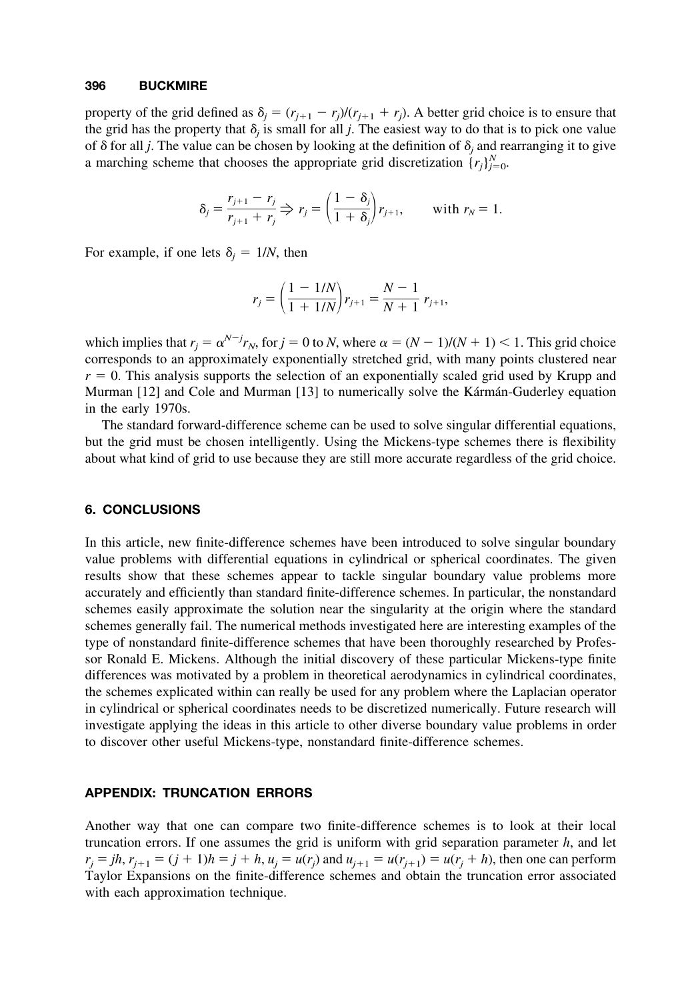property of the grid defined as  $\delta_j = (r_{j+1} - r_j)/(r_{j+1} + r_j)$ . A better grid choice is to ensure that the grid has the property that  $\delta_i$  is small for all *j*. The easiest way to do that is to pick one value of  $\delta$  for all *j*. The value can be chosen by looking at the definition of  $\delta$ <sub>i</sub> and rearranging it to give a marching scheme that chooses the appropriate grid discretization  $\{r_j\}_{j=0}^N$ .

$$
\delta_j = \frac{r_{j+1} - r_j}{r_{j+1} + r_j} \Rightarrow r_j = \left(\frac{1 - \delta_j}{1 + \delta_j}\right) r_{j+1}, \quad \text{with } r_N = 1.
$$

For example, if one lets  $\delta_i = 1/N$ , then

$$
r_j = \left(\frac{1 - 1/N}{1 + 1/N}\right) r_{j+1} = \frac{N - 1}{N + 1} r_{j+1},
$$

which implies that  $r_j = \alpha^{N-j} r_N$ , for  $j = 0$  to *N*, where  $\alpha = (N - 1)/(N + 1) < 1$ . This grid choice corresponds to an approximately exponentially stretched grid, with many points clustered near  $r = 0$ . This analysis supports the selection of an exponentially scaled grid used by Krupp and Murman [12] and Cole and Murman [13] to numerically solve the Kármán-Guderley equation in the early 1970s.

The standard forward-difference scheme can be used to solve singular differential equations, but the grid must be chosen intelligently. Using the Mickens-type schemes there is flexibility about what kind of grid to use because they are still more accurate regardless of the grid choice.

#### **6. CONCLUSIONS**

In this article, new finite-difference schemes have been introduced to solve singular boundary value problems with differential equations in cylindrical or spherical coordinates. The given results show that these schemes appear to tackle singular boundary value problems more accurately and efficiently than standard finite-difference schemes. In particular, the nonstandard schemes easily approximate the solution near the singularity at the origin where the standard schemes generally fail. The numerical methods investigated here are interesting examples of the type of nonstandard finite-difference schemes that have been thoroughly researched by Professor Ronald E. Mickens. Although the initial discovery of these particular Mickens-type finite differences was motivated by a problem in theoretical aerodynamics in cylindrical coordinates, the schemes explicated within can really be used for any problem where the Laplacian operator in cylindrical or spherical coordinates needs to be discretized numerically. Future research will investigate applying the ideas in this article to other diverse boundary value problems in order to discover other useful Mickens-type, nonstandard finite-difference schemes.

## **APPENDIX: TRUNCATION ERRORS**

Another way that one can compare two finite-difference schemes is to look at their local truncation errors. If one assumes the grid is uniform with grid separation parameter *h*, and let  $r_j = jh$ ,  $r_{j+1} = (j + 1)h = j + h$ ,  $u_j = u(r_j)$  and  $u_{j+1} = u(r_{j+1}) = u(r_j + h)$ , then one can perform Taylor Expansions on the finite-difference schemes and obtain the truncation error associated with each approximation technique.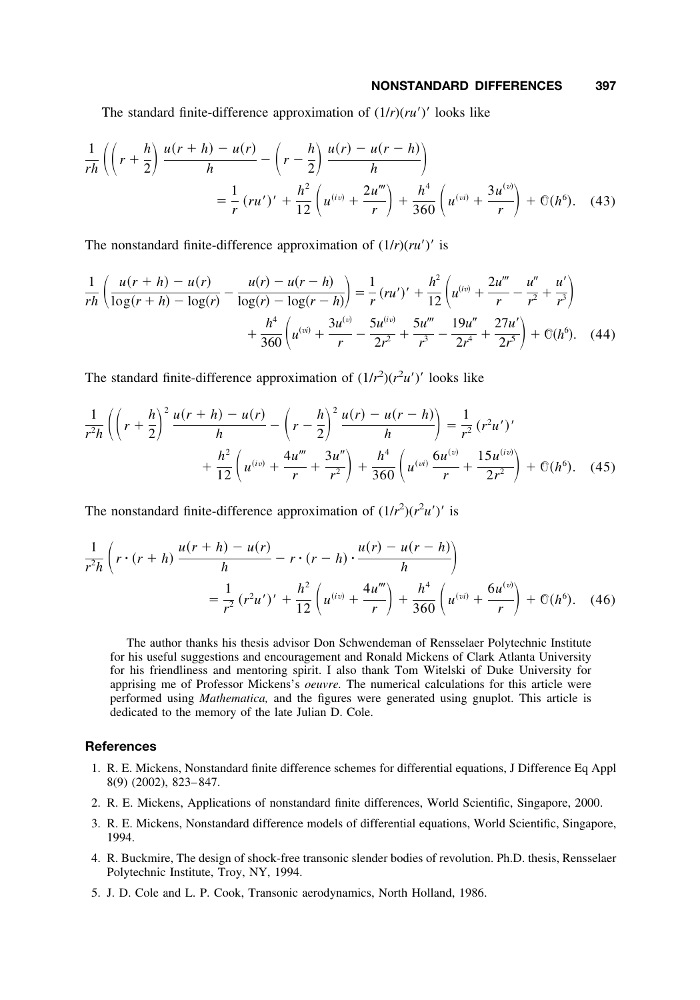The standard finite-difference approximation of  $(1/r)(ru')'$  looks like

$$
\frac{1}{rh}\left(\left(r+\frac{h}{2}\right)\frac{u(r+h)-u(r)}{h}-\left(r-\frac{h}{2}\right)\frac{u(r)-u(r-h)}{h}\right)
$$
\n
$$
=\frac{1}{r}(ru')'+\frac{h^2}{12}\left(u^{(iv)}+\frac{2u'''}{r}\right)+\frac{h^4}{360}\left(u^{(vi)}+\frac{3u^{(v)}}{r}\right)+\mathcal{O}(h^6). \quad (43)
$$

The nonstandard finite-difference approximation of  $(1/r)(ru')'$  is

$$
\frac{1}{rh} \left( \frac{u(r+h) - u(r)}{\log(r+h) - \log(r)} - \frac{u(r) - u(r-h)}{\log(r) - \log(r-h)} \right) = \frac{1}{r} (ru')' + \frac{h^2}{12} \left( u^{(iv)} + \frac{2u'''}{r} - \frac{u''}{r^2} + \frac{u'}{r^3} \right) + \frac{h^4}{360} \left( u^{(vi)} + \frac{3u^{(v)}}{r} - \frac{5u^{(iv)}}{2r^2} + \frac{5u'''}{r^3} - \frac{19u''}{2r^4} + \frac{27u'}{2r^5} \right) + \mathbb{O}(h^6). \quad (44)
$$

The standard finite-difference approximation of  $(1/r^2)(r^2u')'$  looks like

$$
\frac{1}{r^2 h} \left( \left( r + \frac{h}{2} \right)^2 \frac{u(r+h) - u(r)}{h} - \left( r - \frac{h}{2} \right)^2 \frac{u(r) - u(r-h)}{h} \right) = \frac{1}{r^2} (r^2 u')' + \frac{h^2}{12} \left( u^{(iv)} + \frac{4u'''}{r} + \frac{3u''}{r^2} \right) + \frac{h^4}{360} \left( u^{(vi)} \frac{6u^{(v)}}{r} + \frac{15u^{(iv)}}{2r^2} \right) + \mathcal{O}(h^6). \quad (45)
$$

The nonstandard finite-difference approximation of  $(1/r^2)(r^2u')'$  is

$$
\frac{1}{r^{2}h} \left( r \cdot (r+h) \frac{u(r+h) - u(r)}{h} - r \cdot (r-h) \cdot \frac{u(r) - u(r-h)}{h} \right)
$$
\n
$$
= \frac{1}{r^{2}} (r^{2}u')' + \frac{h^{2}}{12} \left( u^{(iv)} + \frac{4u'''}{r} \right) + \frac{h^{4}}{360} \left( u^{(vi)} + \frac{6u^{(v)}}{r} \right) + \mathcal{O}(h^{6}). \quad (46)
$$

The author thanks his thesis advisor Don Schwendeman of Rensselaer Polytechnic Institute for his useful suggestions and encouragement and Ronald Mickens of Clark Atlanta University for his friendliness and mentoring spirit. I also thank Tom Witelski of Duke University for apprising me of Professor Mickens's *oeuvre.* The numerical calculations for this article were performed using *Mathematica,* and the figures were generated using gnuplot. This article is dedicated to the memory of the late Julian D. Cole.

## **References**

- 1. R. E. Mickens, Nonstandard finite difference schemes for differential equations, J Difference Eq Appl 8(9) (2002), 823– 847.
- 2. R. E. Mickens, Applications of nonstandard finite differences, World Scientific, Singapore, 2000.
- 3. R. E. Mickens, Nonstandard difference models of differential equations, World Scientific, Singapore, 1994.
- 4. R. Buckmire, The design of shock-free transonic slender bodies of revolution. Ph.D. thesis, Rensselaer Polytechnic Institute, Troy, NY, 1994.
- 5. J. D. Cole and L. P. Cook, Transonic aerodynamics, North Holland, 1986.